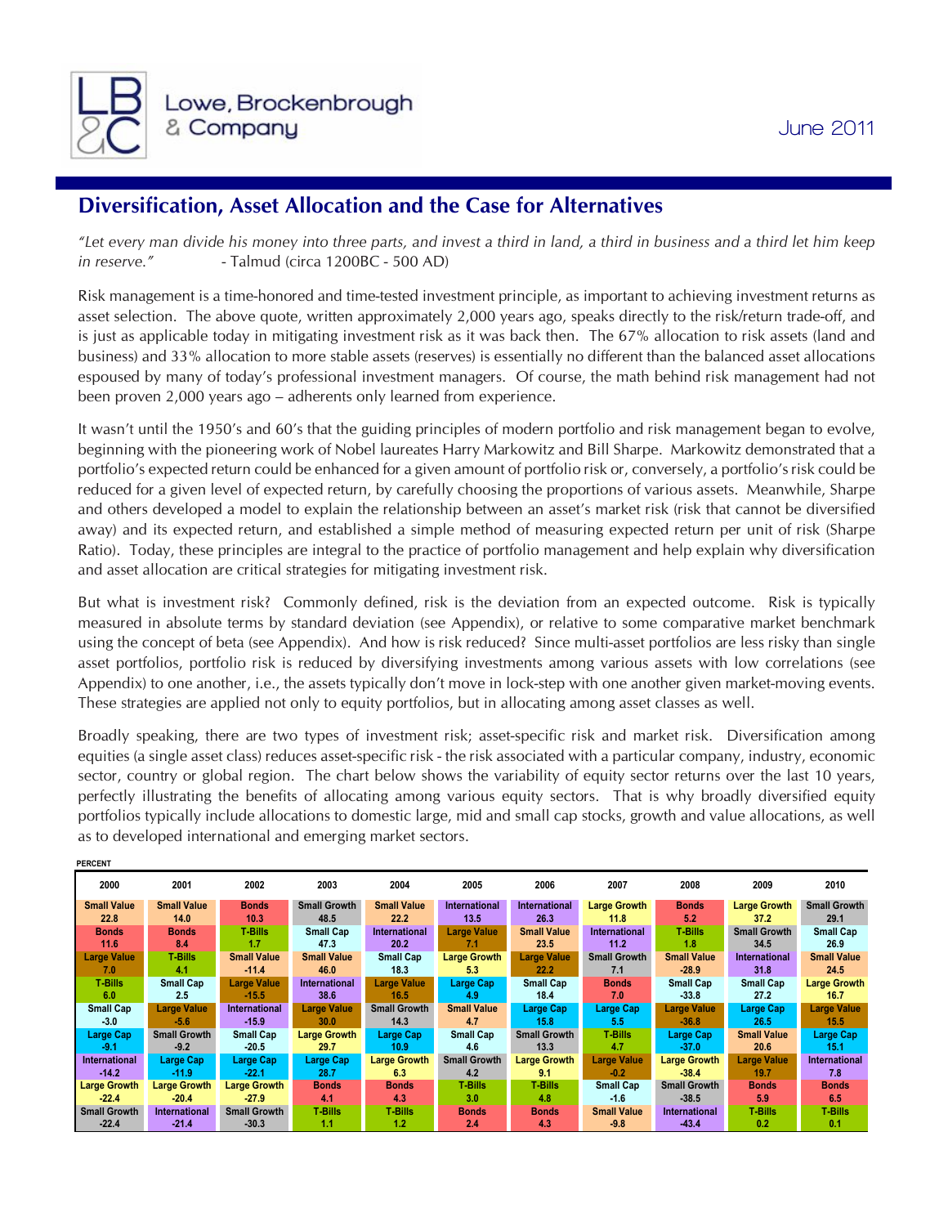

## **Diversification, Asset Allocation and the Case for Alternatives**

*"Let every man divide his money into three parts, and invest a third in land, a third in business and a third let him keep in reserve."* - Talmud (circa 1200BC - 500 AD)

Risk management is a time-honored and time-tested investment principle, as important to achieving investment returns as asset selection. The above quote, written approximately 2,000 years ago, speaks directly to the risk/return trade-off, and is just as applicable today in mitigating investment risk as it was back then. The 67% allocation to risk assets (land and business) and 33% allocation to more stable assets (reserves) is essentially no different than the balanced asset allocations espoused by many of today's professional investment managers. Of course, the math behind risk management had not been proven 2,000 years ago – adherents only learned from experience.

It wasn't until the 1950's and 60's that the guiding principles of modern portfolio and risk management began to evolve, beginning with the pioneering work of Nobel laureates Harry Markowitz and Bill Sharpe. Markowitz demonstrated that a portfolio's expected return could be enhanced for a given amount of portfolio risk or, conversely, a portfolio's risk could be reduced for a given level of expected return, by carefully choosing the proportions of various assets. Meanwhile, Sharpe and others developed a model to explain the relationship between an asset's market risk (risk that cannot be diversified away) and its expected return, and established a simple method of measuring expected return per unit of risk (Sharpe Ratio). Today, these principles are integral to the practice of portfolio management and help explain why diversification and asset allocation are critical strategies for mitigating investment risk.

But what is investment risk? Commonly defined, risk is the deviation from an expected outcome. Risk is typically measured in absolute terms by standard deviation (see Appendix), or relative to some comparative market benchmark using the concept of beta (see Appendix). And how is risk reduced? Since multi-asset portfolios are less risky than single asset portfolios, portfolio risk is reduced by diversifying investments among various assets with low correlations (see Appendix) to one another, i.e., the assets typically don't move in lock-step with one another given market-moving events. These strategies are applied not only to equity portfolios, but in allocating among asset classes as well.

Broadly speaking, there are two types of investment risk; asset-specific risk and market risk. Diversification among equities (a single asset class) reduces asset-specific risk - the risk associated with a particular company, industry, economic sector, country or global region. The chart below shows the variability of equity sector returns over the last 10 years, perfectly illustrating the benefits of allocating among various equity sectors. That is why broadly diversified equity portfolios typically include allocations to domestic large, mid and small cap stocks, growth and value allocations, as well as to developed international and emerging market sectors.

| <b>PERCENT</b>      |                      |                      |                      |                      |                     |                      |                      |                      |                      |                      |
|---------------------|----------------------|----------------------|----------------------|----------------------|---------------------|----------------------|----------------------|----------------------|----------------------|----------------------|
| 2000                | 2001                 | 2002                 | 2003                 | 2004                 | 2005                | 2006                 | 2007                 | 2008                 | 2009                 | 2010                 |
| <b>Small Value</b>  | <b>Small Value</b>   | <b>Bonds</b>         | <b>Small Growth</b>  | <b>Small Value</b>   | International       | <b>International</b> | <b>Large Growth</b>  | <b>Bonds</b>         | <b>Large Growth</b>  | <b>Small Growth</b>  |
| 22.8                | 14.0                 | 10.3                 | 48.5                 | 22.2                 | 13.5                | 26.3                 | 11.8                 | 5.2                  | 37.2                 | 29.1                 |
| <b>Bonds</b>        | <b>Bonds</b>         | T-Bills              | <b>Small Cap</b>     | <b>International</b> | <b>Large Value</b>  | <b>Small Value</b>   | <b>International</b> | <b>T-Bills</b>       | <b>Small Growth</b>  | <b>Small Cap</b>     |
| 11.6                | 8.4                  | 1.7                  | 47.3                 | 20.2                 | 7.1                 | 23.5                 | 11.2                 | 1.8                  | 34.5                 | 26.9                 |
| <b>Large Value</b>  | <b>T-Bills</b>       | <b>Small Value</b>   | <b>Small Value</b>   | <b>Small Cap</b>     | <b>Large Growth</b> | <b>Large Value</b>   | <b>Small Growth</b>  | <b>Small Value</b>   | <b>International</b> | <b>Small Value</b>   |
| 7.0                 | 4.1                  | $-11.4$              | 46.0                 | 18.3                 | 5.3                 | 22.2                 | 7.1                  | $-28.9$              | 31.8                 | 24.5                 |
| <b>T-Bills</b>      | <b>Small Cap</b>     | <b>Large Value</b>   | <b>International</b> | <b>Large Value</b>   | Large Cap           | Small Cap            | <b>Bonds</b>         | <b>Small Cap</b>     | <b>Small Cap</b>     | <b>Large Growth</b>  |
| 6.0                 | 2.5                  | $-15.5$              | 38.6                 | 16.5                 | 4.9                 | 18.4                 | 7.0                  | $-33.8$              | 27.2                 | 16.7                 |
| <b>Small Cap</b>    | <b>Large Value</b>   | <b>International</b> | <b>Large Value</b>   | <b>Small Growth</b>  | <b>Small Value</b>  | Large Cap            | Large Cap            | <b>Large Value</b>   | <b>Large Cap</b>     | <b>Large Value</b>   |
| $-3.0$              | $-5.6$               | $-15.9$              | 30.0                 | 14.3                 | 4.7                 | 15.8                 | 5.5                  | $-36.8$              | 26.5                 | 15.5                 |
| <b>Large Cap</b>    | <b>Small Growth</b>  | <b>Small Cap</b>     | <b>Large Growth</b>  | <b>Large Cap</b>     | <b>Small Cap</b>    | <b>Small Growth</b>  | <b>T-Bills</b>       | Large Cap            | <b>Small Value</b>   | Large Cap            |
| $-9.1$              | $-9.2$               | $-20.5$              | 29.7                 | 10.9                 | 4.6                 | 13.3                 | 4.7                  | $-37.0$              | 20.6                 | 15.1                 |
| International       | Large Cap            | <b>Large Cap</b>     | Large Cap            | <b>Large Growth</b>  | <b>Small Growth</b> | <b>Large Growth</b>  | <b>Large Value</b>   | <b>Large Growth</b>  | <b>Large Value</b>   | <b>International</b> |
| $-14.2$             | $-11.9$              | $-22.1$              | 28.7                 | 6.3                  | 4.2                 | 9.1                  | $-0.2$               | $-38.4$              | 19.7                 | 7.8                  |
| <b>Large Growth</b> | <b>Large Growth</b>  | <b>Large Growth</b>  | <b>Bonds</b>         | <b>Bonds</b>         | <b>T-Bills</b>      | <b>T-Bills</b>       | <b>Small Cap</b>     | <b>Small Growth</b>  | <b>Bonds</b>         | <b>Bonds</b>         |
| $-22.4$             | $-20.4$              | $-27.9$              | 4.1                  | 4.3                  | 3.0                 | 4.8                  | $-1.6$               | $-38.5$              | 5.9                  | 6.5                  |
| <b>Small Growth</b> | <b>International</b> | <b>Small Growth</b>  | <b>T-Bills</b>       | <b>T-Bills</b>       | <b>Bonds</b>        | <b>Bonds</b>         | <b>Small Value</b>   | <b>International</b> | T-Bills              | <b>T-Bills</b>       |
| $-22.4$             | $-21.4$              | $-30.3$              | 1.1                  | 1.2                  | 2.4                 | 4.3                  | $-9.8$               | $-43.4$              | 0.2                  | 0.1                  |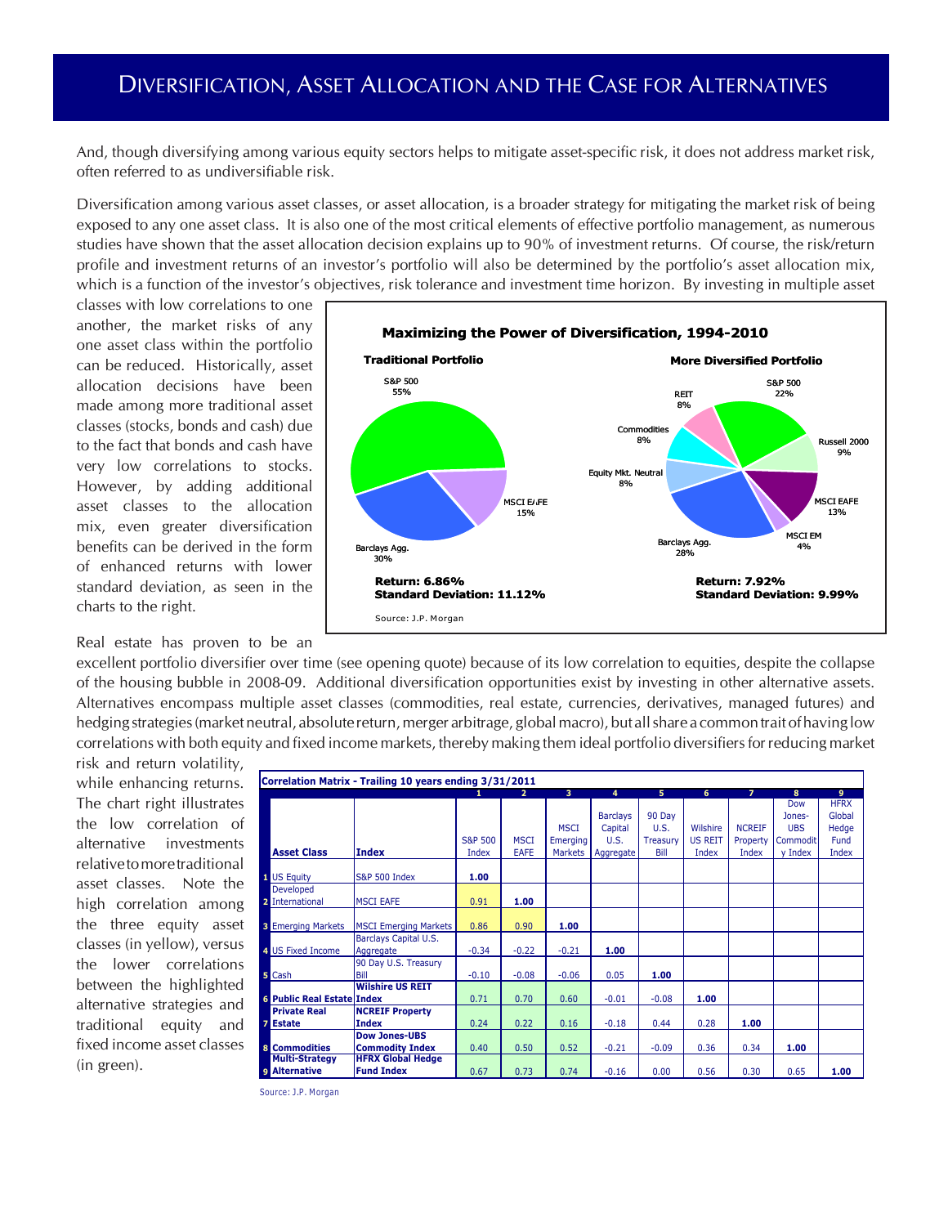## DIVERSIFICATION, ASSET ALLOCATION AND THE CASE FOR ALTERNATIVES

And, though diversifying among various equity sectors helps to mitigate asset-specific risk, it does not address market risk, often referred to as undiversifiable risk.

Diversification among various asset classes, or asset allocation, is a broader strategy for mitigating the market risk of being exposed to any one asset class. It is also one of the most critical elements of effective portfolio management, as numerous studies have shown that the asset allocation decision explains up to 90% of investment returns. Of course, the risk/return profile and investment returns of an investor's portfolio will also be determined by the portfolio's asset allocation mix, which is a function of the investor's objectives, risk tolerance and investment time horizon. By investing in multiple asset

classes with low correlations to one another, the market risks of any one asset class within the portfolio can be reduced. Historically, asset allocation decisions have been made among more traditional asset classes (stocks, bonds and cash) due to the fact that bonds and cash have very low correlations to stocks. However, by adding additional asset classes to the allocation mix, even greater diversification benefits can be derived in the form of enhanced returns with lower standard deviation, as seen in the charts to the right.

Real estate has proven to be an



risk and return volatility, while enhancing returns. The chart right illustrates the low correlation of alternative investments relative to more traditional asset classes. Note the high correlation among the three equity asset classes (in yellow), versus the lower correlations between the highlighted alternative strategies and traditional equity and fixed income asset classes (in green).

| Correlation Matrix - Trailing 10 years ending 3/31/2011 |                              |         |                |             |                 |          |                |                |            |             |  |
|---------------------------------------------------------|------------------------------|---------|----------------|-------------|-----------------|----------|----------------|----------------|------------|-------------|--|
|                                                         |                              |         | $\overline{2}$ | 3           | 4               | 5        | 6              | $\overline{7}$ | 8          | 9           |  |
|                                                         |                              |         |                |             |                 |          |                |                | Dow        | <b>HFRX</b> |  |
|                                                         |                              |         |                |             | <b>Barclays</b> | 90 Day   |                |                | Jones-     | Global      |  |
|                                                         |                              |         |                | <b>MSCI</b> | Capital         | U.S.     | Wilshire       | <b>NCREIF</b>  | <b>UBS</b> | Hedge       |  |
|                                                         |                              | S&P 500 | <b>MSCI</b>    | Emerging    | U.S.            | Treasury | <b>US REIT</b> | Property       | Commodit   | Fund        |  |
| <b>Asset Class</b>                                      | <b>Index</b>                 | Index   | <b>EAFE</b>    | Markets     | Aggregate       | Bill     | Index          | Index          | y Index    | Index       |  |
|                                                         |                              |         |                |             |                 |          |                |                |            |             |  |
| 1 US Equity                                             | <b>S&amp;P 500 Index</b>     | 1.00    |                |             |                 |          |                |                |            |             |  |
| Developed                                               |                              |         |                |             |                 |          |                |                |            |             |  |
| 2 International                                         | <b>MSCI EAFE</b>             | 0.91    | 1.00           |             |                 |          |                |                |            |             |  |
|                                                         |                              |         |                |             |                 |          |                |                |            |             |  |
| <b>3</b> Emerging Markets                               | <b>MSCI Emerging Markets</b> | 0.86    | 0.90           | 1.00        |                 |          |                |                |            |             |  |
|                                                         | <b>Barclays Capital U.S.</b> |         |                |             |                 |          |                |                |            |             |  |
| 4 US Fixed Income                                       | Aggregate                    | $-0.34$ | $-0.22$        | $-0.21$     | 1.00            |          |                |                |            |             |  |
|                                                         | 90 Day U.S. Treasury         |         |                |             |                 |          |                |                |            |             |  |
| <b>5</b> Cash                                           | Bill                         | $-0.10$ | $-0.08$        | $-0.06$     | 0.05            | 1.00     |                |                |            |             |  |
|                                                         | <b>Wilshire US REIT</b>      |         |                |             |                 |          |                |                |            |             |  |
| <b>6 Public Real Estate Index</b>                       |                              | 0.71    | 0.70           | 0.60        | $-0.01$         | $-0.08$  | 1.00           |                |            |             |  |
| <b>Private Real</b>                                     | <b>NCREIF Property</b>       |         |                |             |                 |          |                |                |            |             |  |
| <b>7</b> Estate                                         | <b>Index</b>                 | 0.24    | 0.22           | 0.16        | $-0.18$         | 0.44     | 0.28           | 1.00           |            |             |  |
|                                                         | <b>Dow Jones-UBS</b>         |         |                |             |                 |          |                |                |            |             |  |
| 8 Commodities                                           | <b>Commodity Index</b>       | 0.40    | 0.50           | 0.52        | $-0.21$         | $-0.09$  | 0.36           | 0.34           | 1.00       |             |  |
| <b>Multi-Strategy</b>                                   | <b>HFRX Global Hedge</b>     |         |                |             |                 |          |                |                |            |             |  |
| <b>9</b> Alternative                                    | <b>Fund Index</b>            | 0.67    | 0.73           | 0.74        | $-0.16$         | 0.00     | 0.56           | 0.30           | 0.65       | 1.00        |  |
|                                                         |                              |         |                |             |                 |          |                |                |            |             |  |

Source: J.P. Morgan